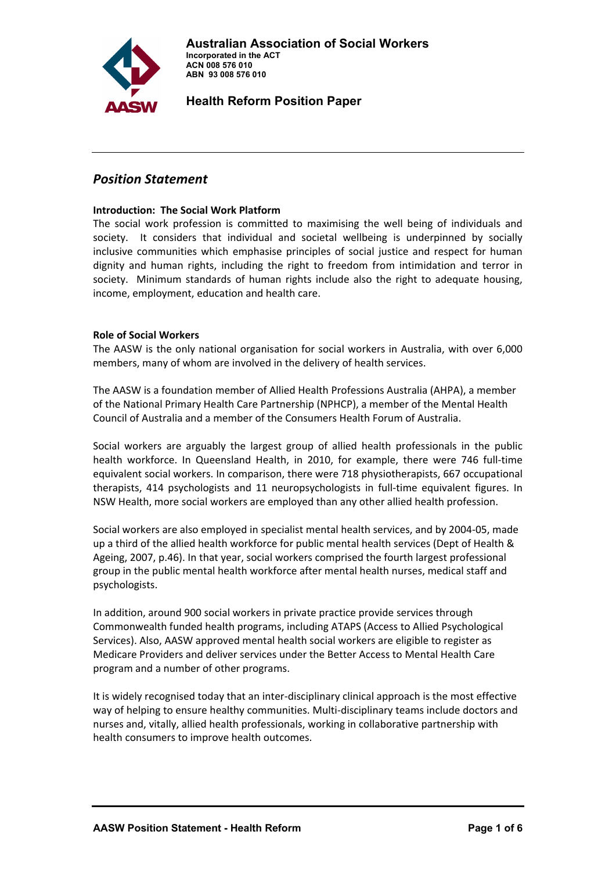

# *Position Statement*

#### **Introduction: The Social Work Platform**

The social work profession is committed to maximising the well being of individuals and society. It considers that individual and societal wellbeing is underpinned by socially inclusive communities which emphasise principles of social justice and respect for human dignity and human rights, including the right to freedom from intimidation and terror in society. Minimum standards of human rights include also the right to adequate housing, income, employment, education and health care.

## **Role of Social Workers**

The AASW is the only national organisation for social workers in Australia, with over 6,000 members, many of whom are involved in the delivery of health services.

The AASW is a foundation member of Allied Health Professions Australia (AHPA), a member of the National Primary Health Care Partnership (NPHCP), a member of the Mental Health Council of Australia and a member of the Consumers Health Forum of Australia.

Social workers are arguably the largest group of allied health professionals in the public health workforce. In Queensland Health, in 2010, for example, there were 746 full-time equivalent social workers. In comparison, there were 718 physiotherapists, 667 occupational therapists, 414 psychologists and 11 neuropsychologists in full‐time equivalent figures. In NSW Health, more social workers are employed than any other allied health profession.

Social workers are also employed in specialist mental health services, and by 2004‐05, made up a third of the allied health workforce for public mental health services (Dept of Health & Ageing, 2007, p.46). In that year, social workers comprised the fourth largest professional group in the public mental health workforce after mental health nurses, medical staff and psychologists.

In addition, around 900 social workers in private practice provide services through Commonwealth funded health programs, including ATAPS (Access to Allied Psychological Services). Also, AASW approved mental health social workers are eligible to register as Medicare Providers and deliver services under the Better Access to Mental Health Care program and a number of other programs.

It is widely recognised today that an inter-disciplinary clinical approach is the most effective way of helping to ensure healthy communities. Multi-disciplinary teams include doctors and nurses and, vitally, allied health professionals, working in collaborative partnership with health consumers to improve health outcomes.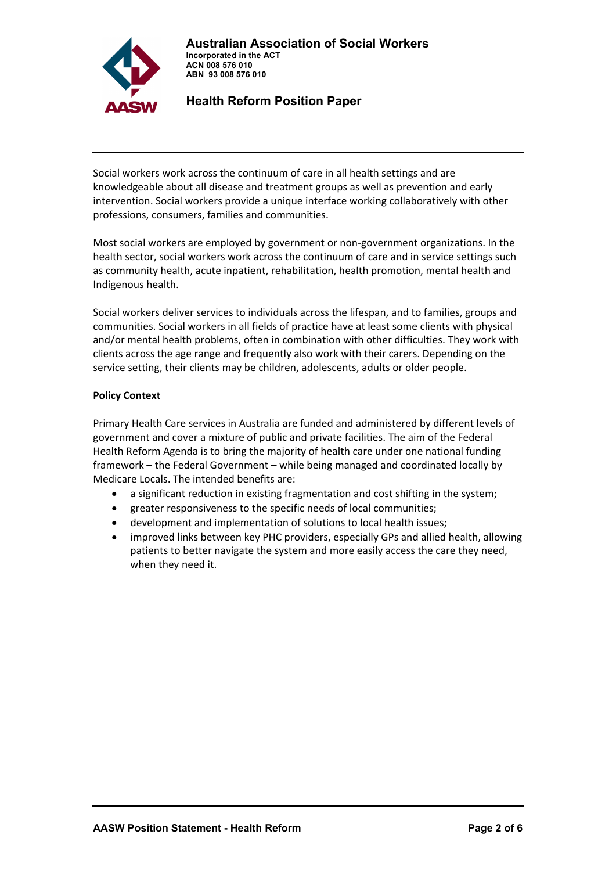**Australian Association of Social Workers Incorporated in the ACT** 



 **Health Reform Position Paper** 

 **ACN 008 576 010 ABN 93 008 576 010** 

Social workers work across the continuum of care in all health settings and are knowledgeable about all disease and treatment groups as well as prevention and early intervention. Social workers provide a unique interface working collaboratively with other professions, consumers, families and communities.

Most social workers are employed by government or non-government organizations. In the health sector, social workers work across the continuum of care and in service settings such as community health, acute inpatient, rehabilitation, health promotion, mental health and Indigenous health.

Social workers deliver services to individuals across the lifespan, and to families, groups and communities. Social workers in all fields of practice have at least some clients with physical and/or mental health problems, often in combination with other difficulties. They work with clients across the age range and frequently also work with their carers. Depending on the service setting, their clients may be children, adolescents, adults or older people.

## **Policy Context**

Primary Health Care services in Australia are funded and administered by different levels of government and cover a mixture of public and private facilities. The aim of the Federal Health Reform Agenda is to bring the majority of health care under one national funding framework – the Federal Government – while being managed and coordinated locally by Medicare Locals. The intended benefits are:

- a significant reduction in existing fragmentation and cost shifting in the system;
- greater responsiveness to the specific needs of local communities;
- development and implementation of solutions to local health issues;
- improved links between key PHC providers, especially GPs and allied health, allowing patients to better navigate the system and more easily access the care they need, when they need it.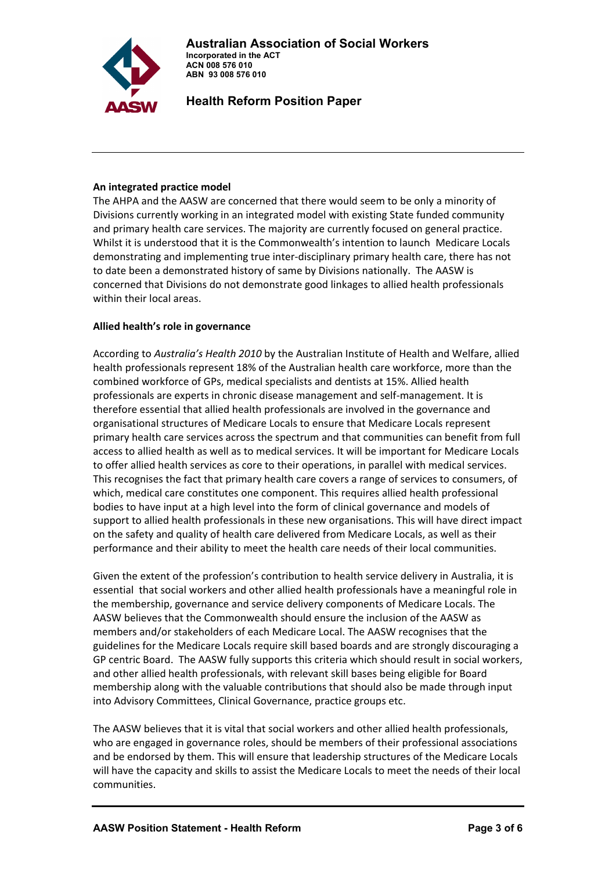

## **An integrated practice model**

The AHPA and the AASW are concerned that there would seem to be only a minority of Divisions currently working in an integrated model with existing State funded community and primary health care services. The majority are currently focused on general practice. Whilst it is understood that it is the Commonwealth's intention to launch Medicare Locals demonstrating and implementing true inter‐disciplinary primary health care, there has not to date been a demonstrated history of same by Divisions nationally. The AASW is concerned that Divisions do not demonstrate good linkages to allied health professionals within their local areas.

## **Allied health's role in governance**

According to *Australia's Health 2010* by the Australian Institute of Health and Welfare, allied health professionals represent 18% of the Australian health care workforce, more than the combined workforce of GPs, medical specialists and dentists at 15%. Allied health professionals are experts in chronic disease management and self‐management. It is therefore essential that allied health professionals are involved in the governance and organisational structures of Medicare Locals to ensure that Medicare Locals represent primary health care services across the spectrum and that communities can benefit from full access to allied health as well as to medical services. It will be important for Medicare Locals to offer allied health services as core to their operations, in parallel with medical services. This recognises the fact that primary health care covers a range of services to consumers, of which, medical care constitutes one component. This requires allied health professional bodies to have input at a high level into the form of clinical governance and models of support to allied health professionals in these new organisations. This will have direct impact on the safety and quality of health care delivered from Medicare Locals, as well as their performance and their ability to meet the health care needs of their local communities.

Given the extent of the profession's contribution to health service delivery in Australia, it is essential that social workers and other allied health professionals have a meaningful role in the membership, governance and service delivery components of Medicare Locals. The AASW believes that the Commonwealth should ensure the inclusion of the AASW as members and/or stakeholders of each Medicare Local. The AASW recognises that the guidelines for the Medicare Locals require skill based boards and are strongly discouraging a GP centric Board. The AASW fully supports this criteria which should result in social workers, and other allied health professionals, with relevant skill bases being eligible for Board membership along with the valuable contributions that should also be made through input into Advisory Committees, Clinical Governance, practice groups etc.

The AASW believes that it is vital that social workers and other allied health professionals, who are engaged in governance roles, should be members of their professional associations and be endorsed by them. This will ensure that leadership structures of the Medicare Locals will have the capacity and skills to assist the Medicare Locals to meet the needs of their local communities.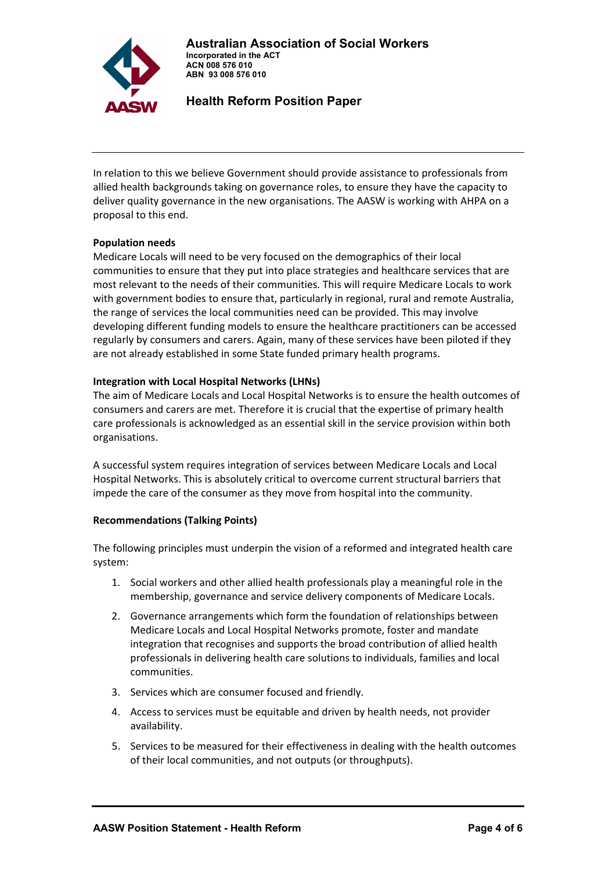**Australian Association of Social Workers Incorporated in the ACT ACN 008 576 010** 



 **Health Reform Position Paper** 

 **ABN 93 008 576 010** 

In relation to this we believe Government should provide assistance to professionals from allied health backgrounds taking on governance roles, to ensure they have the capacity to deliver quality governance in the new organisations. The AASW is working with AHPA on a proposal to this end.

## **Population needs**

Medicare Locals will need to be very focused on the demographics of their local communities to ensure that they put into place strategies and healthcare services that are most relevant to the needs of their communities. This will require Medicare Locals to work with government bodies to ensure that, particularly in regional, rural and remote Australia, the range of services the local communities need can be provided. This may involve developing different funding models to ensure the healthcare practitioners can be accessed regularly by consumers and carers. Again, many of these services have been piloted if they are not already established in some State funded primary health programs.

## **Integration with Local Hospital Networks (LHNs)**

The aim of Medicare Locals and Local Hospital Networks is to ensure the health outcomes of consumers and carers are met. Therefore it is crucial that the expertise of primary health care professionals is acknowledged as an essential skill in the service provision within both organisations.

A successful system requires integration of services between Medicare Locals and Local Hospital Networks. This is absolutely critical to overcome current structural barriers that impede the care of the consumer as they move from hospital into the community.

## **Recommendations (Talking Points)**

The following principles must underpin the vision of a reformed and integrated health care system:

- 1. Social workers and other allied health professionals play a meaningful role in the membership, governance and service delivery components of Medicare Locals.
- 2. Governance arrangements which form the foundation of relationships between Medicare Locals and Local Hospital Networks promote, foster and mandate integration that recognises and supports the broad contribution of allied health professionals in delivering health care solutions to individuals, families and local communities.
- 3. Services which are consumer focused and friendly.
- 4. Access to services must be equitable and driven by health needs, not provider availability.
- 5. Services to be measured for their effectiveness in dealing with the health outcomes of their local communities, and not outputs (or throughputs).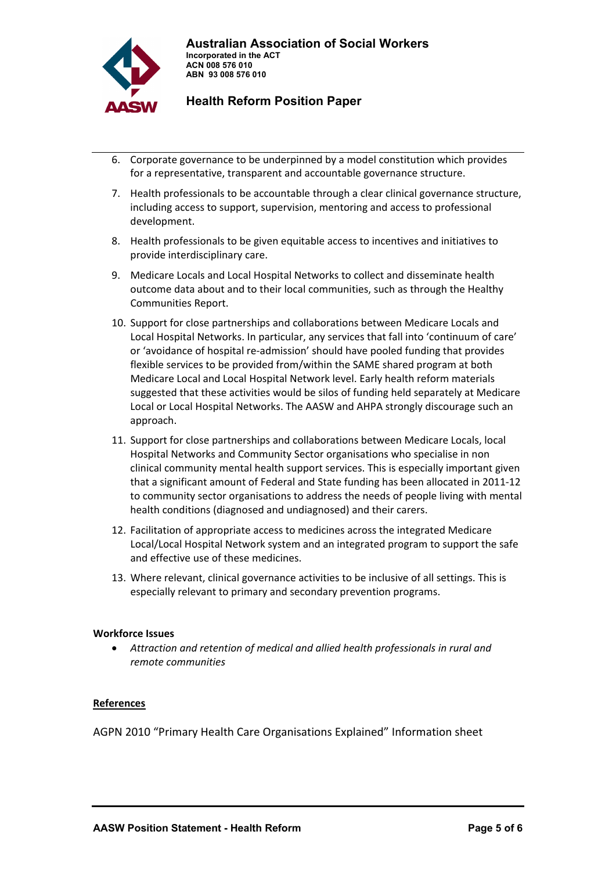

- 6. Corporate governance to be underpinned by a model constitution which provides for a representative, transparent and accountable governance structure.
- 7. Health professionals to be accountable through a clear clinical governance structure, including access to support, supervision, mentoring and access to professional development.
- 8. Health professionals to be given equitable access to incentives and initiatives to provide interdisciplinary care.
- 9. Medicare Locals and Local Hospital Networks to collect and disseminate health outcome data about and to their local communities, such as through the Healthy Communities Report.
- 10. Support for close partnerships and collaborations between Medicare Locals and Local Hospital Networks. In particular, any services that fall into 'continuum of care' or 'avoidance of hospital re‐admission' should have pooled funding that provides flexible services to be provided from/within the SAME shared program at both Medicare Local and Local Hospital Network level. Early health reform materials suggested that these activities would be silos of funding held separately at Medicare Local or Local Hospital Networks. The AASW and AHPA strongly discourage such an approach.
- 11. Support for close partnerships and collaborations between Medicare Locals, local Hospital Networks and Community Sector organisations who specialise in non clinical community mental health support services. This is especially important given that a significant amount of Federal and State funding has been allocated in 2011‐12 to community sector organisations to address the needs of people living with mental health conditions (diagnosed and undiagnosed) and their carers.
- 12. Facilitation of appropriate access to medicines across the integrated Medicare Local/Local Hospital Network system and an integrated program to support the safe and effective use of these medicines.
- 13. Where relevant, clinical governance activities to be inclusive of all settings. This is especially relevant to primary and secondary prevention programs.

#### **Workforce Issues**

• *Attraction and retention of medical and allied health professionals in rural and remote communities*

#### **References**

AGPN 2010 "Primary Health Care Organisations Explained" Information sheet